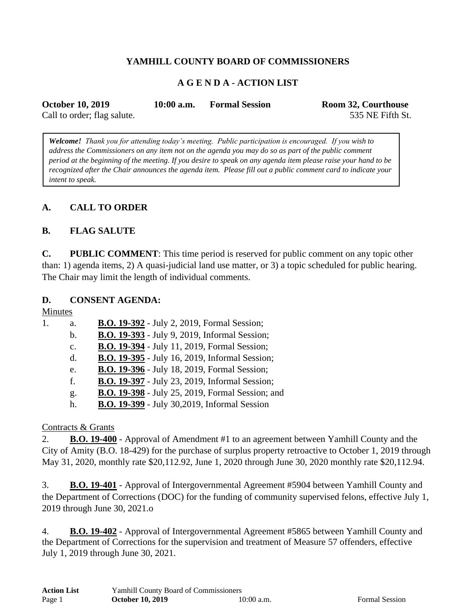## **YAMHILL COUNTY BOARD OF COMMISSIONERS**

### **A G E N D A - ACTION LIST**

| <b>October 10, 2019</b>     | $10:00$ a.m. | <b>Formal Session</b> | <b>Room 32, Courthouse</b> |
|-----------------------------|--------------|-----------------------|----------------------------|
| Call to order; flag salute. |              |                       | 535 NE Fifth St.           |

*Welcome! Thank you for attending today's meeting. Public participation is encouraged. If you wish to address the Commissioners on any item not on the agenda you may do so as part of the public comment period at the beginning of the meeting. If you desire to speak on any agenda item please raise your hand to be recognized after the Chair announces the agenda item. Please fill out a public comment card to indicate your intent to speak.*

### **A. CALL TO ORDER**

#### **B. FLAG SALUTE**

**C. PUBLIC COMMENT**: This time period is reserved for public comment on any topic other than: 1) agenda items, 2) A quasi-judicial land use matter, or 3) a topic scheduled for public hearing. The Chair may limit the length of individual comments.

#### **D. CONSENT AGENDA:**

Minutes

| 1. | a.             | <b>B.O. 19-392</b> - July 2, 2019, Formal Session;    |
|----|----------------|-------------------------------------------------------|
|    | $\mathbf{b}$ . | <b>B.O. 19-393</b> - July 9, 2019, Informal Session;  |
|    | $C_{\bullet}$  | <b>B.O. 19-394</b> - July 11, 2019, Formal Session;   |
|    | $d_{-}$        | B.O. 19-395 - July 16, 2019, Informal Session;        |
|    | e.             | <b>B.O. 19-396</b> - July 18, 2019, Formal Session;   |
|    | f.             | <b>B.O. 19-397</b> - July 23, 2019, Informal Session; |
|    | g.             | B.O. 19-398 - July 25, 2019, Formal Session; and      |
|    | h.             | <b>B.O. 19-399</b> - July 30,2019, Informal Session   |

#### Contracts & Grants

2. **B.O. 19-400** - Approval of Amendment #1 to an agreement between Yamhill County and the City of Amity (B.O. 18-429) for the purchase of surplus property retroactive to October 1, 2019 through May 31, 2020, monthly rate \$20,112.92, June 1, 2020 through June 30, 2020 monthly rate \$20,112.94.

3. **B.O. 19-401** - Approval of Intergovernmental Agreement #5904 between Yamhill County and the Department of Corrections (DOC) for the funding of community supervised felons, effective July 1, 2019 through June 30, 2021.o

4. **B.O. 19-402** - Approval of Intergovernmental Agreement #5865 between Yamhill County and the Department of Corrections for the supervision and treatment of Measure 57 offenders, effective July 1, 2019 through June 30, 2021.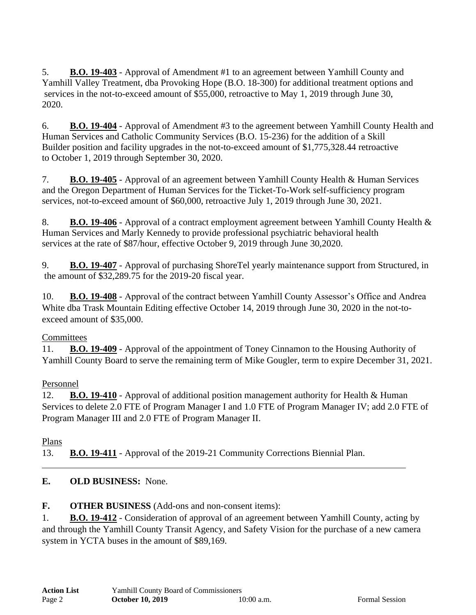5. **B.O. 19-403** - Approval of Amendment #1 to an agreement between Yamhill County and Yamhill Valley Treatment, dba Provoking Hope (B.O. 18-300) for additional treatment options and services in the not-to-exceed amount of \$55,000, retroactive to May 1, 2019 through June 30, 2020.

6. **B.O. 19-404** - Approval of Amendment #3 to the agreement between Yamhill County Health and Human Services and Catholic Community Services (B.O. 15-236) for the addition of a Skill Builder position and facility upgrades in the not-to-exceed amount of \$1,775,328.44 retroactive to October 1, 2019 through September 30, 2020.

7. **B.O. 19-405** - Approval of an agreement between Yamhill County Health & Human Services and the Oregon Department of Human Services for the Ticket-To-Work self-sufficiency program services, not-to-exceed amount of \$60,000, retroactive July 1, 2019 through June 30, 2021.

8. **B.O. 19-406** - Approval of a contract employment agreement between Yamhill County Health & Human Services and Marly Kennedy to provide professional psychiatric behavioral health services at the rate of \$87/hour, effective October 9, 2019 through June 30,2020.

9. **B.O. 19-407** - Approval of purchasing ShoreTel yearly maintenance support from Structured, in the amount of \$32,289.75 for the 2019-20 fiscal year.

10. **B.O. 19-408** - Approval of the contract between Yamhill County Assessor's Office and Andrea White dba Trask Mountain Editing effective October 14, 2019 through June 30, 2020 in the not-toexceed amount of \$35,000.

# **Committees**

11. **B.O. 19-409** - Approval of the appointment of Toney Cinnamon to the Housing Authority of Yamhill County Board to serve the remaining term of Mike Gougler, term to expire December 31, 2021.

# Personnel

12. **B.O. 19-410** - Approval of additional position management authority for Health & Human Services to delete 2.0 FTE of Program Manager I and 1.0 FTE of Program Manager IV; add 2.0 FTE of Program Manager III and 2.0 FTE of Program Manager II.

Plans

13. **B.O. 19-411** - Approval of the 2019-21 Community Corrections Biennial Plan.

# **E. OLD BUSINESS:** None.

**F. OTHER BUSINESS** (Add-ons and non-consent items):

1. **B.O. 19-412** - Consideration of approval of an agreement between Yamhill County, acting by and through the Yamhill County Transit Agency, and Safety Vision for the purchase of a new camera system in YCTA buses in the amount of \$89,169.